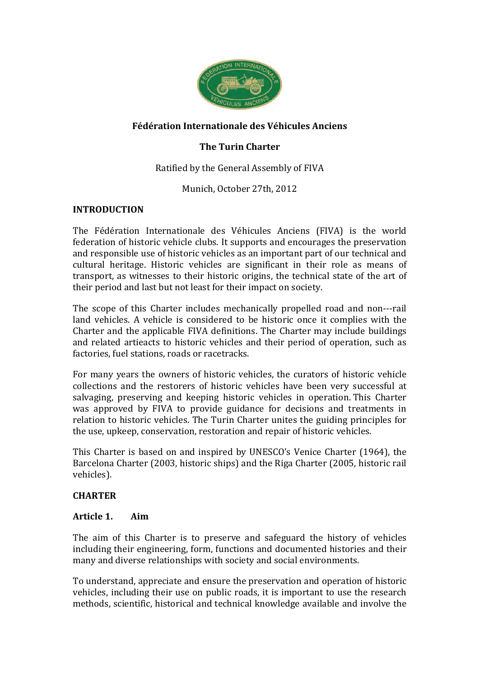

# **Fédération Internationale des Véhicules Anciens**

# **The Turin Charter**

Ratified by the General Assembly of FIVA

Munich, October 27th, 2012

#### **INTRODUCTION**

The Fédération Internationale des Véhicules Anciens (FIVA) is the world federation of historic vehicle clubs. It supports and encourages the preservation and responsible use of historic vehicles as an important part of our technical and cultural heritage. Historic vehicles are significant in their role as means of transport, as witnesses to their historic origins, the technical state of the art of their period and last but not least for their impact on society.

The scope of this Charter includes mechanically propelled road and non---rail land vehicles. A vehicle is considered to be historic once it complies with the Charter and the applicable FIVA definitions. The Charter may include buildings and related artieacts to historic vehicles and their period of operation, such as factories, fuel stations, roads or racetracks.

For many vears the owners of historic vehicles, the curators of historic vehicle collections and the restorers of historic vehicles have been very successful at salvaging, preserving and keeping historic vehicles in operation. This Charter was approved by FIVA to provide guidance for decisions and treatments in relation to historic vehicles. The Turin Charter unites the guiding principles for the use, upkeep, conservation, restoration and repair of historic vehicles.

This Charter is based on and inspired by UNESCO's Venice Charter (1964), the Barcelona Charter (2003, historic ships) and the Riga Charter (2005, historic rail vehicles).

# **CHARTER**

#### **Article 1. Aim**

The aim of this Charter is to preserve and safeguard the history of vehicles including their engineering, form, functions and documented histories and their many and diverse relationships with society and social environments.

To understand, appreciate and ensure the preservation and operation of historic vehicles, including their use on public roads, it is important to use the research methods, scientific, historical and technical knowledge available and involve the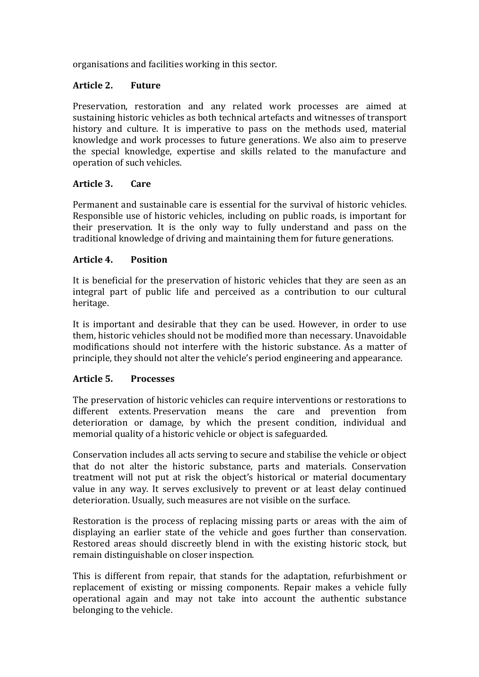organisations and facilities working in this sector.

# **Article 2. Future**

Preservation, restoration and any related work processes are aimed at sustaining historic vehicles as both technical artefacts and witnesses of transport history and culture. It is imperative to pass on the methods used, material knowledge and work processes to future generations. We also aim to preserve the special knowledge, expertise and skills related to the manufacture and operation of such vehicles.

# **Article 3. Care**

Permanent and sustainable care is essential for the survival of historic vehicles. Responsible use of historic vehicles, including on public roads, is important for their preservation. It is the only way to fully understand and pass on the traditional knowledge of driving and maintaining them for future generations.

# **Article 4. Position**

It is beneficial for the preservation of historic vehicles that they are seen as an integral part of public life and perceived as a contribution to our cultural heritage.

It is important and desirable that they can be used. However, in order to use them, historic vehicles should not be modified more than necessary. Unavoidable modifications should not interfere with the historic substance. As a matter of principle, they should not alter the vehicle's period engineering and appearance.

# **Article 5. Processes**

The preservation of historic vehicles can require interventions or restorations to different extents. Preservation means the care and prevention from deterioration or damage, by which the present condition, individual and memorial quality of a historic vehicle or object is safeguarded.

Conservation includes all acts serving to secure and stabilise the vehicle or object that do not alter the historic substance, parts and materials. Conservation treatment will not put at risk the object's historical or material documentary value in any way. It serves exclusively to prevent or at least delay continued deterioration. Usually, such measures are not visible on the surface.

Restoration is the process of replacing missing parts or areas with the aim of displaying an earlier state of the vehicle and goes further than conservation. Restored areas should discreetly blend in with the existing historic stock, but remain distinguishable on closer inspection.

This is different from repair, that stands for the adaptation, refurbishment or replacement of existing or missing components. Repair makes a vehicle fully operational again and may not take into account the authentic substance belonging to the vehicle.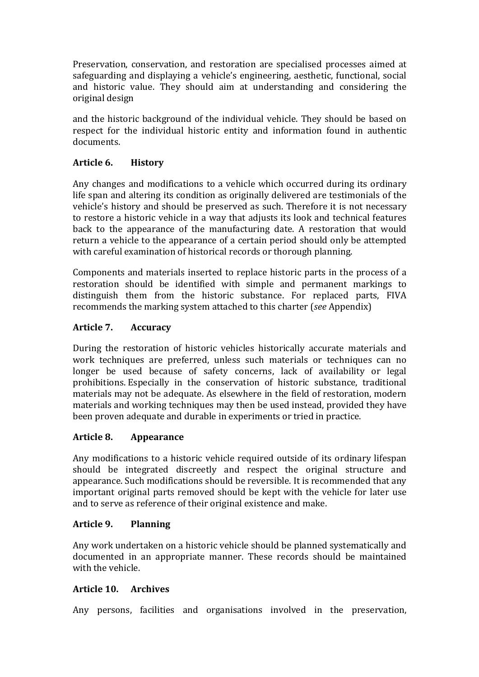Preservation, conservation, and restoration are specialised processes aimed at safeguarding and displaying a vehicle's engineering, aesthetic, functional, social and historic value. They should aim at understanding and considering the original design

and the historic background of the individual vehicle. They should be based on respect for the individual historic entity and information found in authentic documents.

# **Article 6. History**

Any changes and modifications to a vehicle which occurred during its ordinary life span and altering its condition as originally delivered are testimonials of the vehicle's history and should be preserved as such. Therefore it is not necessary to restore a historic vehicle in a way that adjusts its look and technical features back to the appearance of the manufacturing date. A restoration that would return a vehicle to the appearance of a certain period should only be attempted with careful examination of historical records or thorough planning.

Components and materials inserted to replace historic parts in the process of a restoration should be identified with simple and permanent markings to distinguish them from the historic substance. For replaced parts, FIVA recommends the marking system attached to this charter (*see* Appendix)

# **Article 7. Accuracy**

During the restoration of historic vehicles historically accurate materials and work techniques are preferred, unless such materials or techniques can no longer be used because of safety concerns, lack of availability or legal prohibitions. Especially in the conservation of historic substance, traditional materials may not be adequate. As elsewhere in the field of restoration, modern materials and working techniques may then be used instead, provided they have been proven adequate and durable in experiments or tried in practice.

# **Article 8. Appearance**

Any modifications to a historic vehicle required outside of its ordinary lifespan should be integrated discreetly and respect the original structure and appearance. Such modifications should be reversible. It is recommended that any important original parts removed should be kept with the vehicle for later use and to serve as reference of their original existence and make.

# **Article 9. Planning**

Any work undertaken on a historic vehicle should be planned systematically and documented in an appropriate manner. These records should be maintained with the vehicle.

# **Article 10. Archives**

Any persons, facilities and organisations involved in the preservation,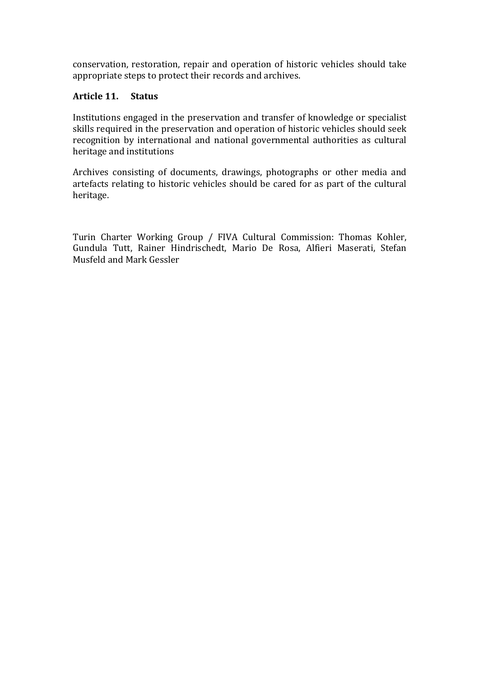conservation, restoration, repair and operation of historic vehicles should take appropriate steps to protect their records and archives.

# **Article 11. Status**

Institutions engaged in the preservation and transfer of knowledge or specialist skills required in the preservation and operation of historic vehicles should seek recognition by international and national governmental authorities as cultural heritage and institutions

Archives consisting of documents, drawings, photographs or other media and artefacts relating to historic vehicles should be cared for as part of the cultural heritage.

Turin Charter Working Group / FIVA Cultural Commission: Thomas Kohler, Gundula Tutt, Rainer Hindrischedt, Mario De Rosa, Alfieri Maserati, Stefan Musfeld and Mark Gessler